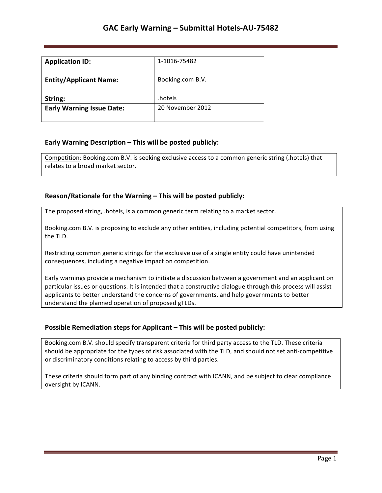| <b>Application ID:</b>           | 1-1016-75482     |
|----------------------------------|------------------|
| <b>Entity/Applicant Name:</b>    | Booking.com B.V. |
| String:                          | .hotels          |
| <b>Early Warning Issue Date:</b> | 20 November 2012 |

## **Early Warning Description – This will be posted publicly:**

Competition: Booking.com B.V. is seeking exclusive access to a common generic string (.hotels) that relates to a broad market sector.

## **Reason/Rationale for the Warning – This will be posted publicly:**

The proposed string, .hotels, is a common generic term relating to a market sector.

Booking.com B.V. is proposing to exclude any other entities, including potential competitors, from using the TLD.

Restricting common generic strings for the exclusive use of a single entity could have unintended consequences, including a negative impact on competition.

Early warnings provide a mechanism to initiate a discussion between a government and an applicant on particular issues or questions. It is intended that a constructive dialogue through this process will assist applicants to better understand the concerns of governments, and help governments to better understand the planned operation of proposed gTLDs.

### **Possible Remediation steps for Applicant – This will be posted publicly:**

Booking.com B.V. should specify transparent criteria for third party access to the TLD. These criteria should be appropriate for the types of risk associated with the TLD, and should not set anti-competitive or discriminatory conditions relating to access by third parties.

These criteria should form part of any binding contract with ICANN, and be subject to clear compliance oversight by ICANN.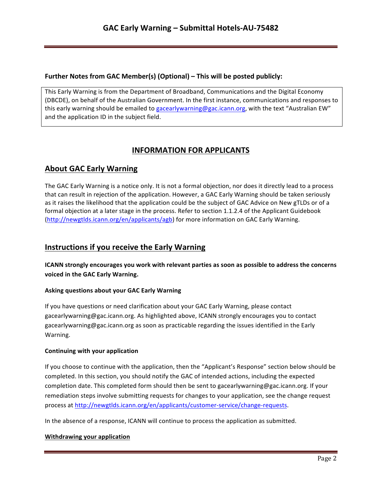### **Further Notes from GAC Member(s) (Optional) – This will be posted publicly:**

This Early Warning is from the Department of Broadband, Communications and the Digital Economy (DBCDE), on behalf of the Australian Government. In the first instance, communications and responses to this early warning should be emailed to gacearlywarning@gac.icann.org, with the text "Australian EW" and the application ID in the subject field.

# **INFORMATION FOR APPLICANTS**

## **About GAC Early Warning**

The GAC Early Warning is a notice only. It is not a formal objection, nor does it directly lead to a process that can result in rejection of the application. However, a GAC Early Warning should be taken seriously as it raises the likelihood that the application could be the subject of GAC Advice on New gTLDs or of a formal objection at a later stage in the process. Refer to section 1.1.2.4 of the Applicant Guidebook (http://newgtlds.icann.org/en/applicants/agb) for more information on GAC Early Warning.

## **Instructions if you receive the Early Warning**

**ICANN** strongly encourages you work with relevant parties as soon as possible to address the concerns voiced in the GAC Early Warning.

### **Asking questions about your GAC Early Warning**

If you have questions or need clarification about your GAC Early Warning, please contact gacearlywarning@gac.icann.org. As highlighted above, ICANN strongly encourages you to contact gacearlywarning@gac.icann.org as soon as practicable regarding the issues identified in the Early Warning. 

### **Continuing with your application**

If you choose to continue with the application, then the "Applicant's Response" section below should be completed. In this section, you should notify the GAC of intended actions, including the expected completion date. This completed form should then be sent to gacearlywarning@gac.icann.org. If your remediation steps involve submitting requests for changes to your application, see the change request process at http://newgtlds.icann.org/en/applicants/customer-service/change-requests.

In the absence of a response, ICANN will continue to process the application as submitted.

### **Withdrawing your application**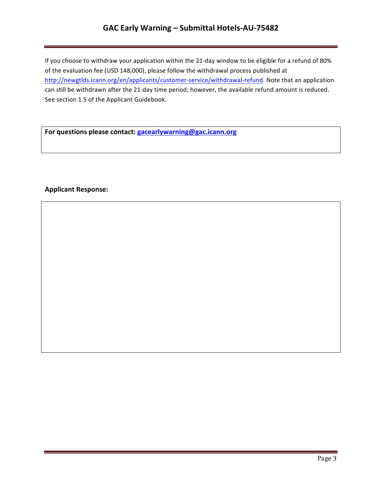# GAC Early Warning - Submittal Hotels-AU-75482

If you choose to withdraw your application within the 21-day window to be eligible for a refund of 80% of the evaluation fee (USD 148,000), please follow the withdrawal process published at http://newgtlds.icann.org/en/applicants/customer-service/withdrawal-refund. Note that an application can still be withdrawn after the 21-day time period; however, the available refund amount is reduced. See section 1.5 of the Applicant Guidebook.

For questions please contact: **gacearlywarning@gac.icann.org** 

### **Applicant Response:**